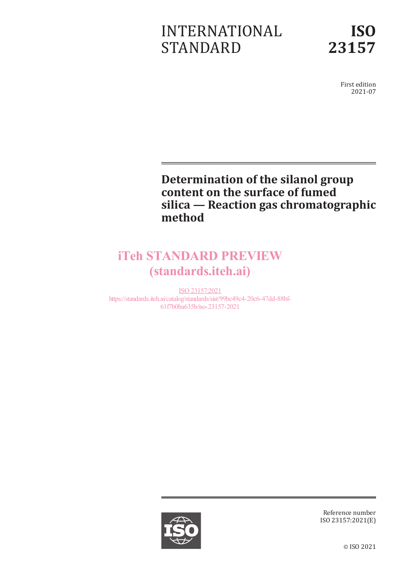# INTERNATIONAL STANDARD



First edition 2021-07

### **Determination of the silanol group content on the surface of fumed silica — Reaction gas chromatographic method**

# iTeh STANDARD PREVIEW (standards.iteh.ai)

ISO 23157:2021 https://standards.iteh.ai/catalog/standards/sist/99bc49c4-20c6-47dd-88bf-61f7b0ba635b/iso-23157-2021



Reference number ISO 23157:2021(E)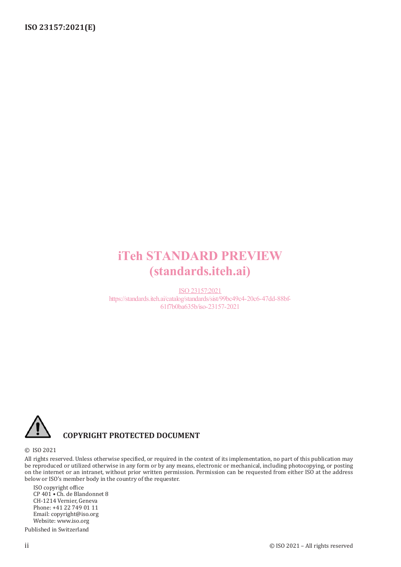## iTeh STANDARD PREVIEW (standards.iteh.ai)

ISO 23157:2021 https://standards.iteh.ai/catalog/standards/sist/99bc49c4-20c6-47dd-88bf-61f7b0ba635b/iso-23157-2021



#### **COPYRIGHT PROTECTED DOCUMENT**

#### © ISO 2021

All rights reserved. Unless otherwise specified, or required in the context of its implementation, no part of this publication may be reproduced or utilized otherwise in any form or by any means, electronic or mechanical, including photocopying, or posting on the internet or an intranet, without prior written permission. Permission can be requested from either ISO at the address below or ISO's member body in the country of the requester.

ISO copyright office CP 401 • Ch. de Blandonnet 8 CH-1214 Vernier, Geneva Phone: +41 22 749 01 11 Email: copyright@iso.org Website: www.iso.org Published in Switzerland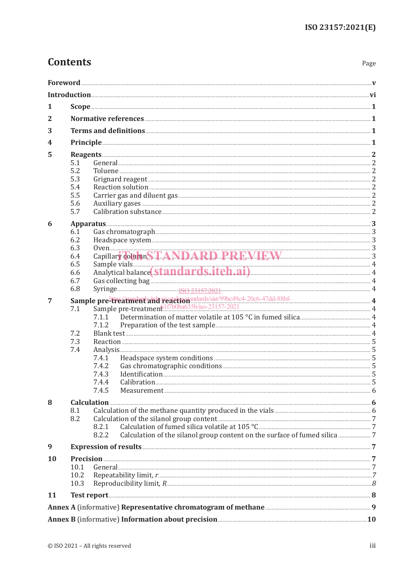| 1         |                                                                                                                                             |                                                                       |  |  |  |  |  |
|-----------|---------------------------------------------------------------------------------------------------------------------------------------------|-----------------------------------------------------------------------|--|--|--|--|--|
| 2         |                                                                                                                                             |                                                                       |  |  |  |  |  |
| 3         |                                                                                                                                             |                                                                       |  |  |  |  |  |
| 4         |                                                                                                                                             |                                                                       |  |  |  |  |  |
| 5         | Reagents 2                                                                                                                                  |                                                                       |  |  |  |  |  |
|           | 5.1                                                                                                                                         |                                                                       |  |  |  |  |  |
|           | 5.2                                                                                                                                         |                                                                       |  |  |  |  |  |
|           | 5.3                                                                                                                                         |                                                                       |  |  |  |  |  |
|           | 5.4                                                                                                                                         |                                                                       |  |  |  |  |  |
|           | 5.5                                                                                                                                         |                                                                       |  |  |  |  |  |
|           | 5.6<br>5.7                                                                                                                                  |                                                                       |  |  |  |  |  |
| 6         |                                                                                                                                             |                                                                       |  |  |  |  |  |
|           | Apparatus 3                                                                                                                                 |                                                                       |  |  |  |  |  |
|           | 6.1<br>6.2                                                                                                                                  | Gas chromatograph 3                                                   |  |  |  |  |  |
|           | 6.3                                                                                                                                         |                                                                       |  |  |  |  |  |
|           | 6.4                                                                                                                                         | 0ven 3<br>Capillary Column STANDARD PREVIEW 3                         |  |  |  |  |  |
|           | 6.5                                                                                                                                         |                                                                       |  |  |  |  |  |
|           | 6.6                                                                                                                                         | Sample vials 4<br>Analytical balance (Standards.iteh.ai) 4<br>4       |  |  |  |  |  |
|           | 6.7                                                                                                                                         |                                                                       |  |  |  |  |  |
|           | 6.8                                                                                                                                         |                                                                       |  |  |  |  |  |
| 7         | Sample pre <sup>1</sup> treatment and a each of mdards/sist/99bc49c4-20c6-47dd-88bf-<br>7.1 Sample pre-treatment 1f7b0ba635b/iso-23157-2021 |                                                                       |  |  |  |  |  |
|           |                                                                                                                                             |                                                                       |  |  |  |  |  |
|           |                                                                                                                                             | 7.1.1                                                                 |  |  |  |  |  |
|           |                                                                                                                                             | 7.1.2                                                                 |  |  |  |  |  |
|           | 7.2<br>7.3                                                                                                                                  |                                                                       |  |  |  |  |  |
|           | 7.4                                                                                                                                         |                                                                       |  |  |  |  |  |
|           |                                                                                                                                             | Headspace system conditions <b>CONSCRUTE AND TELECTION</b> 5<br>7.4.1 |  |  |  |  |  |
|           |                                                                                                                                             | 7.4.2                                                                 |  |  |  |  |  |
|           |                                                                                                                                             | 7.4.3                                                                 |  |  |  |  |  |
|           |                                                                                                                                             | 7.4.4                                                                 |  |  |  |  |  |
|           |                                                                                                                                             | 7.4.5                                                                 |  |  |  |  |  |
| 8         |                                                                                                                                             |                                                                       |  |  |  |  |  |
|           | 8.1                                                                                                                                         |                                                                       |  |  |  |  |  |
|           | 8.2                                                                                                                                         | Calculation of the silanol group content <b>Election Content</b> 7    |  |  |  |  |  |
|           |                                                                                                                                             | 8.2.1                                                                 |  |  |  |  |  |
|           |                                                                                                                                             | 8.2.2                                                                 |  |  |  |  |  |
| 9         |                                                                                                                                             |                                                                       |  |  |  |  |  |
| <b>10</b> | 10.1                                                                                                                                        |                                                                       |  |  |  |  |  |
|           |                                                                                                                                             |                                                                       |  |  |  |  |  |
|           | 10.2                                                                                                                                        |                                                                       |  |  |  |  |  |
|           | 10.3                                                                                                                                        |                                                                       |  |  |  |  |  |
| <b>11</b> |                                                                                                                                             |                                                                       |  |  |  |  |  |
|           |                                                                                                                                             |                                                                       |  |  |  |  |  |
|           |                                                                                                                                             | Annex B (informative) Information about precision                     |  |  |  |  |  |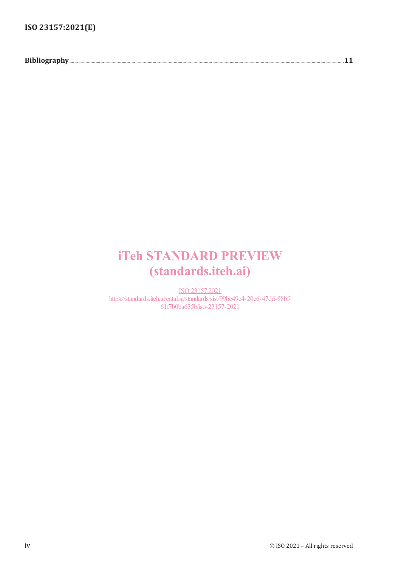**Bibliography**.............................................................................................................................................................................................................................**11**

## iTeh STANDARD PREVIEW (standards.iteh.ai)

ISO 23157:2021 https://standards.iteh.ai/catalog/standards/sist/99bc49c4-20c6-47dd-88bf-61f7b0ba635b/iso-23157-2021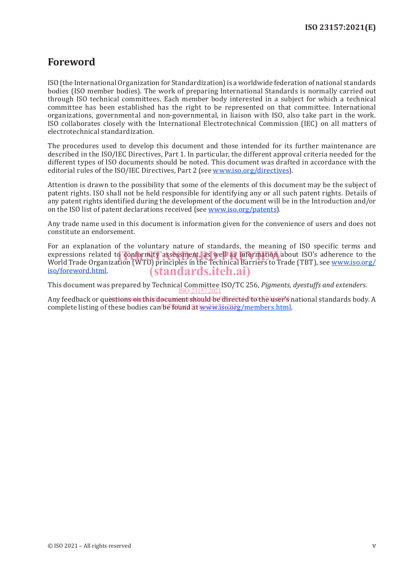### **Foreword**

ISO (the International Organization for Standardization) is a worldwide federation of national standards bodies (ISO member bodies). The work of preparing International Standards is normally carried out through ISO technical committees. Each member body interested in a subject for which a technical committee has been established has the right to be represented on that committee. International organizations, governmental and non-governmental, in liaison with ISO, also take part in the work. ISO collaborates closely with the International Electrotechnical Commission (IEC) on all matters of electrotechnical standardization.

The procedures used to develop this document and those intended for its further maintenance are described in the ISO/IEC Directives, Part 1. In particular, the different approval criteria needed for the different types of ISO documents should be noted. This document was drafted in accordance with the editorial rules of the ISO/IEC Directives, Part 2 (see www.iso.org/directives).

Attention is drawn to the possibility that some of the elements of this document may be the subject of patent rights. ISO shall not be held responsible for identifying any or all such patent rights. Details of any patent rights identified during the development of the document will be in the Introduction and/or on the ISO list of patent declarations received (see www.iso.org/patents).

Any trade name used in this document is information given for the convenience of users and does not constitute an endorsement.

For an explanation of the voluntary nature of standards, the meaning of ISO specific terms and expressions related to conformity assessment, as well as information about ISO's adherence to the experience or<br>World Trade Organization (WTO) principles in the Technical Barriers to Trade (TBT), see www.iso.org/ World Trade Organization (WTO) principles in the Technical Barriers to Trade (TBT), see www.iso.org/ iso/foreword.html. (standards.iteh.ai)

This document was prepared by Technical Committee ISO/TC 256, *Pigments, dyestuffs and extenders*. ISO 23157:2021

Any feedback or questions on this document should be directed to the user's national standards body. A complete listing of these bodies can be found at www.iso.org/members.html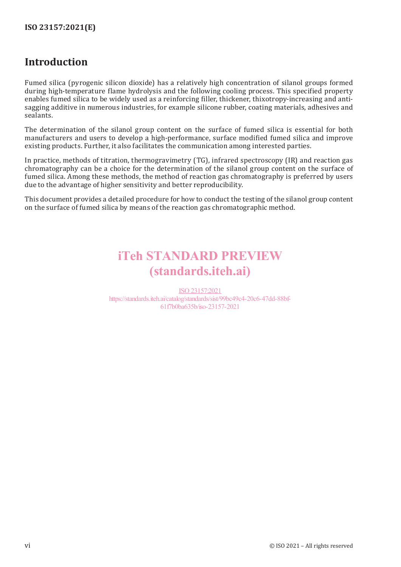### **Introduction**

Fumed silica (pyrogenic silicon dioxide) has a relatively high concentration of silanol groups formed during high-temperature flame hydrolysis and the following cooling process. This specified property enables fumed silica to be widely used as a reinforcing filler, thickener, thixotropy-increasing and antisagging additive in numerous industries, for example silicone rubber, coating materials, adhesives and sealants.

The determination of the silanol group content on the surface of fumed silica is essential for both manufacturers and users to develop a high-performance, surface modified fumed silica and improve existing products. Further, it also facilitates the communication among interested parties.

In practice, methods of titration, thermogravimetry (TG), infrared spectroscopy (IR) and reaction gas chromatography can be a choice for the determination of the silanol group content on the surface of fumed silica. Among these methods, the method of reaction gas chromatography is preferred by users due to the advantage of higher sensitivity and better reproducibility.

This document provides a detailed procedure for how to conduct the testing of the silanol group content on the surface of fumed silica by means of the reaction gas chromatographic method.

## iTeh STANDARD PREVIEW (standards.iteh.ai)

ISO 23157:2021 https://standards.iteh.ai/catalog/standards/sist/99bc49c4-20c6-47dd-88bf-61f7b0ba635b/iso-23157-2021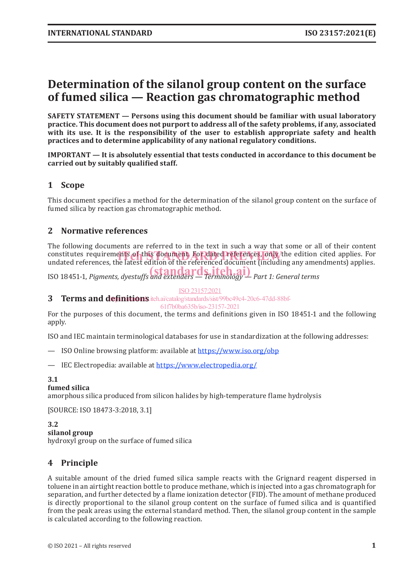### **Determination of the silanol group content on the surface of fumed silica — Reaction gas chromatographic method**

**SAFETY STATEMENT — Persons using this document should be familiar with usual laboratory practice. This document does not purport to address all of the safety problems, if any, associated with its use. It is the responsibility of the user to establish appropriate safety and health practices and to determine applicability of any national regulatory conditions.**

**IMPORTANT — It is absolutely essential that tests conducted in accordance to this document be carried out by suitably qualified staff.**

#### **1 Scope**

This document specifies a method for the determination of the silanol group content on the surface of fumed silica by reaction gas chromatographic method.

#### **2 Normative references**

The following documents are referred to in the text in such a way that some or all of their content constitutes requirements of this document. For dated references, only/the edition cited applies. For<br>undated references, the latest edition of the referenced document (including any amendments) applies. undated references, the latest edition of the referenced document (including any amendments) applies.

ISO 18451-1, *Pigments, dyestuffs and extenders — Terminology — Part 1: General terms* (standards.iteh.ai)

ISO 23157:2021

**3** Terms and definitions.iteh.ai/catalog/standards/sist/99bc49c4-20c6-47dd-88bf-

61f7b0ba635b/iso-23157-2021

For the purposes of this document, the terms and definitions given in ISO 18451-1 and the following apply.

ISO and IEC maintain terminological databases for use in standardization at the following addresses:

- ISO Online browsing platform: available at https://www.iso.org/obp
- IEC Electropedia: available at https://www.electropedia.org/

#### **3.1**

#### **fumed silica**

amorphous silica produced from silicon halides by high-temperature flame hydrolysis

[SOURCE: ISO 18473‑3:2018, 3.1]

#### **3.2**

**silanol group**

hydroxyl group on the surface of fumed silica

#### **4 Principle**

A suitable amount of the dried fumed silica sample reacts with the Grignard reagent dispersed in toluene in an airtight reaction bottle to produce methane, which is injected into a gas chromatograph for separation, and further detected by a flame ionization detector (FID). The amount of methane produced is directly proportional to the silanol group content on the surface of fumed silica and is quantified from the peak areas using the external standard method. Then, the silanol group content in the sample is calculated according to the following reaction.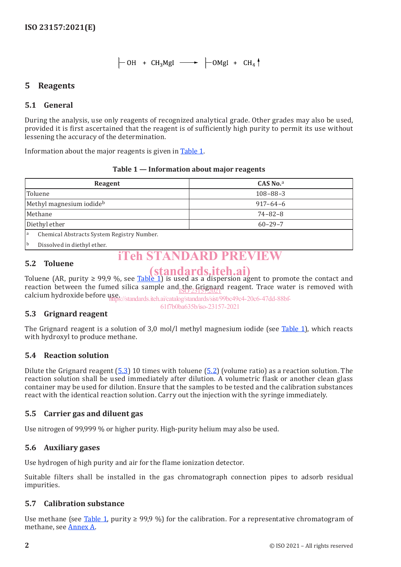#### **5 Reagents**

#### **5.1 General**

During the analysis, use only reagents of recognized analytical grade. Other grades may also be used, provided it is first ascertained that the reagent is of sufficiently high purity to permit its use without lessening the accuracy of the determination.

Information about the major reagents is given in Table 1.

| Reagent                                         | $CAS$ No. <sup>a</sup> |  |  |  |
|-------------------------------------------------|------------------------|--|--|--|
| Toluene                                         | $108 - 88 - 3$         |  |  |  |
| Methyl magnesium iodide <sup>b</sup>            | $917 - 64 - 6$         |  |  |  |
| Methane                                         | $74 - 82 - 8$          |  |  |  |
| Diethyl ether                                   | $60 - 29 - 7$          |  |  |  |
| Chemical Abstracts System Registry Number.<br>a |                        |  |  |  |

#### **Table 1 — Information about major reagents**

Dissolved in diethyl ether.

### **iTeh STANDARD PRE**

#### **5.2 Toluene**

Toluene (AR, purity  $\geq$  99,9 %, see Table 1) is used as a dispersion agent to promote the contact and reaction between the fumed silica sample and the Grignard reagent. Trace water is removed with calcium hydroxide before use. (standards.iteh.ai) ISO 23157:2021

https://standards.iteh.ai/catalog/standards/sist/99bc49c4-20c6-47dd-88bf-61f7b0ba635b/iso-23157-2021

#### **5.3 Grignard reagent**

The Grignard reagent is a solution of 3,0 mol/l methyl magnesium iodide (see Table 1), which reacts with hydroxyl to produce methane.

#### **5.4 Reaction solution**

Dilute the Grignard reagent  $(5.3)$  10 times with toluene  $(5.2)$  (volume ratio) as a reaction solution. The reaction solution shall be used immediately after dilution. A volumetric flask or another clean glass container may be used for dilution. Ensure that the samples to be tested and the calibration substances react with the identical reaction solution. Carry out the injection with the syringe immediately.

#### **5.5 Carrier gas and diluent gas**

Use nitrogen of 99,999 % or higher purity. High-purity helium may also be used.

#### **5.6 Auxiliary gases**

Use hydrogen of high purity and air for the flame ionization detector.

Suitable filters shall be installed in the gas chromatograph connection pipes to adsorb residual impurities.

#### **5.7 Calibration substance**

Use methane (see Table 1, purity  $\geq$  99,9 %) for the calibration. For a representative chromatogram of methane, see Annex A.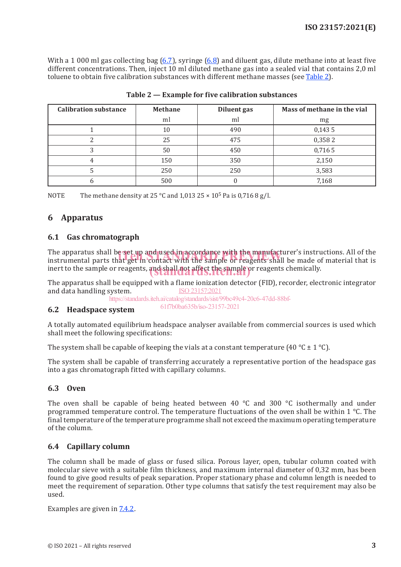With a 1 000 ml gas collecting bag (6.7), syringe (6.8) and diluent gas, dilute methane into at least five different concentrations. Then, inject 10 ml diluted methane gas into a sealed vial that contains 2,0 ml toluene to obtain five calibration substances with different methane masses (see Table 2).

| <b>Calibration substance</b> | <b>Methane</b> | Diluent gas | Mass of methane in the vial |
|------------------------------|----------------|-------------|-----------------------------|
|                              | ml             | ml          | mg                          |
|                              | 10             | 490         | 0,1435                      |
|                              | 25             | 475         | 0,3582                      |
|                              | 50             | 450         | 0,716 5                     |
|                              | 150            | 350         | 2,150                       |
|                              | 250            | 250         | 3,583                       |
|                              | 500            |             | 7,168                       |

NOTE The methane density at 25 °C and 1,013 25  $\times$  10<sup>5</sup> Pa is 0,716 8 g/l.

#### **6 Apparatus**

#### **6.1 Gas chromatograph**

The apparatus shall be set up and used in accordance with the manufacturer's instructions. All of the The apparatus shall be set up and used in accordance with the manufacturer's instructions. All of the<br>instrumental parts that get in contact with the sample or reagents shall be made of material that is inert to the sample or reagents, and shall not affect the sample or reagents chemically.

The apparatus shall be equipped with a flame ionization detector (FID), recorder, electronic integrator and data handling system. ISO 23157:2021

https://standards.iteh.ai/catalog/standards/sist/99bc49c4-20c6-47dd-88bf-61f7b0ba635b/iso-23157-2021

#### **6.2 Headspace system**

A totally automated equilibrium headspace analyser available from commercial sources is used which shall meet the following specifications:

The system shall be capable of keeping the vials at a constant temperature (40 °C  $\pm$  1 °C).

The system shall be capable of transferring accurately a representative portion of the headspace gas into a gas chromatograph fitted with capillary columns.

#### **6.3 Oven**

The oven shall be capable of being heated between 40 °C and 300 °C isothermally and under programmed temperature control. The temperature fluctuations of the oven shall be within 1 °C. The final temperature of the temperature programme shall not exceed the maximum operating temperature of the column.

#### **6.4 Capillary column**

The column shall be made of glass or fused silica. Porous layer, open, tubular column coated with molecular sieve with a suitable film thickness, and maximum internal diameter of 0,32 mm, has been found to give good results of peak separation. Proper stationary phase and column length is needed to meet the requirement of separation. Other type columns that satisfy the test requirement may also be used.

Examples are given in 7.4.2.